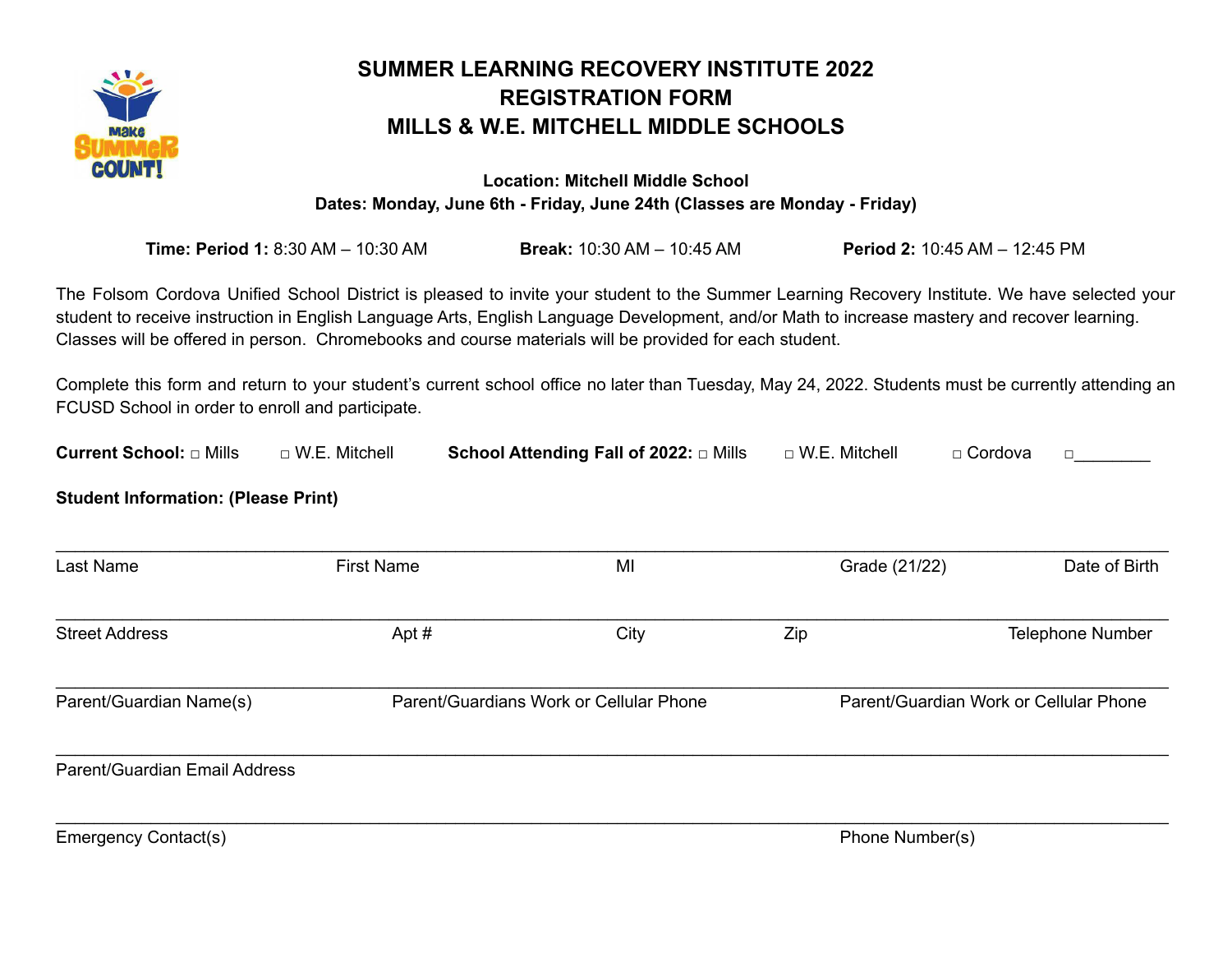

## **SUMMER LEARNING RECOVERY INSTITUTE 2022 REGISTRATION FORM MILLS & W.E. MITCHELL MIDDLE SCHOOLS**

**Location: Mitchell Middle School Dates: Monday, June 6th - Friday, June 24th (Classes are Monday - Friday)**

**Time: Period 1:** 8:30 AM – 10:30 AM **Break:** 10:30 AM – 10:45 AM **Period 2:** 10:45 AM – 12:45 PM

The Folsom Cordova Unified School District is pleased to invite your student to the Summer Learning Recovery Institute. We have selected your student to receive instruction in English Language Arts, English Language Development, and/or Math to increase mastery and recover learning. Classes will be offered in person. Chromebooks and course materials will be provided for each student.

Complete this form and return to your student's current school office no later than Tuesday, May 24, 2022. Students must be currently attending an FCUSD School in order to enroll and participate.

| <b>Current School: O Mills</b> | □ W.E. Mitchell | School Attending Fall of 2022: □ Mills | □ W.E. Mitchell | $\Box$ Cordova |  |
|--------------------------------|-----------------|----------------------------------------|-----------------|----------------|--|
|--------------------------------|-----------------|----------------------------------------|-----------------|----------------|--|

**Student Information: (Please Print)**

| Last Name                     | <b>First Name</b>                       | MI   | Grade (21/22) | Date of Birth                          |  |
|-------------------------------|-----------------------------------------|------|---------------|----------------------------------------|--|
| <b>Street Address</b>         | Apt $#$                                 | City | Zip           | <b>Telephone Number</b>                |  |
| Parent/Guardian Name(s)       | Parent/Guardians Work or Cellular Phone |      |               | Parent/Guardian Work or Cellular Phone |  |
| Parent/Guardian Email Address |                                         |      |               |                                        |  |

 $\mathcal{L}_\mathcal{L} = \mathcal{L}_\mathcal{L} = \mathcal{L}_\mathcal{L} = \mathcal{L}_\mathcal{L} = \mathcal{L}_\mathcal{L} = \mathcal{L}_\mathcal{L} = \mathcal{L}_\mathcal{L} = \mathcal{L}_\mathcal{L} = \mathcal{L}_\mathcal{L} = \mathcal{L}_\mathcal{L} = \mathcal{L}_\mathcal{L} = \mathcal{L}_\mathcal{L} = \mathcal{L}_\mathcal{L} = \mathcal{L}_\mathcal{L} = \mathcal{L}_\mathcal{L} = \mathcal{L}_\mathcal{L} = \mathcal{L}_\mathcal{L}$